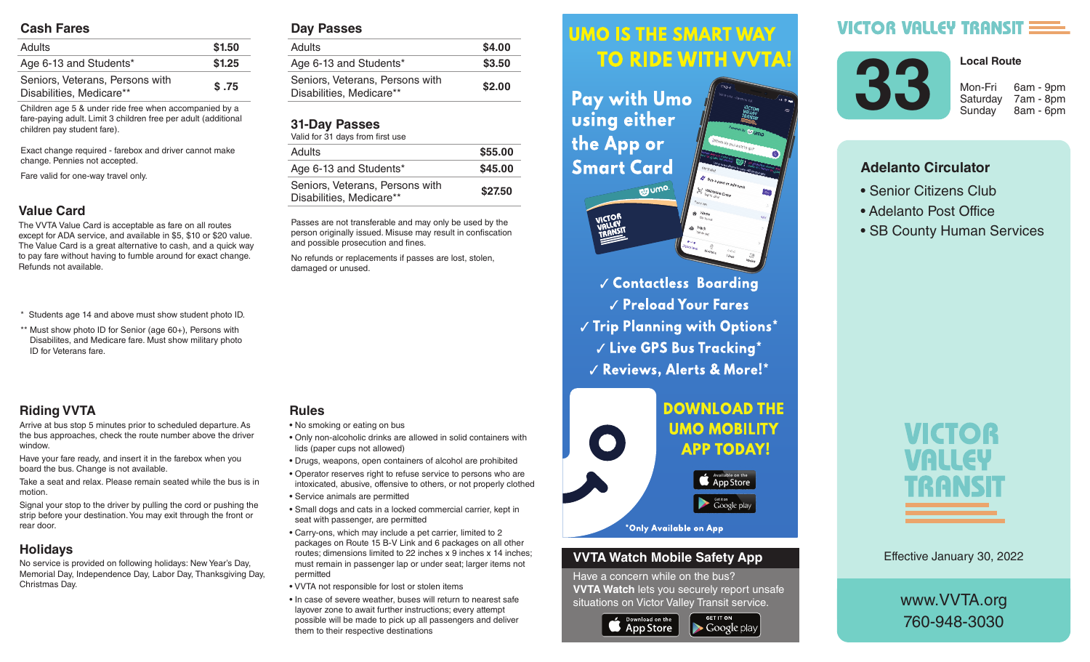### **Cash Fares**

| <b>Adults</b>                                               | \$1.50 |
|-------------------------------------------------------------|--------|
| Age 6-13 and Students*                                      | \$1.25 |
| Seniors, Veterans, Persons with<br>Disabilities, Medicare** | \$.75  |

Children age 5 & under ride free when accompanied by a fare-paying adult. Limit 3 children free per adult (additional children pay student fare).

Exact change required - farebox and driver cannot make change. Pennies not accepted.

Fare valid for one-way travel only.

### **Value Card**

The VVTA Value Card is acceptable as fare on all routes except for ADA service, and available in \$5, \$10 or \$20 value. The Value Card is a great alternative to cash, and a quick way to pay fare without having to fumble around for exact change. Refunds not available.

- \* Students age 14 and above must show student photo ID.
- \*\* Must show photo ID for Senior (age 60+), Persons with Disabilites, and Medicare fare. Must show military photo ID for Veterans fare.

# **Riding VVTA**

Arrive at bus stop 5 minutes prior to scheduled departure. As the bus approaches, check the route number above the driver window.

Have your fare ready, and insert it in the farebox when you board the bus. Change is not available.

Take a seat and relax. Please remain seated while the bus is in motion.

Signal your stop to the driver by pulling the cord or pushing the strip before your destination. You may exit through the front or rear door.

## **Holidays**

No service is provided on following holidays: New Year's Day, Memorial Day, Independence Day, Labor Day, Thanksgiving Day, Christmas Day.

#### **Day Passes**

| Adults                                                      | \$4.00 |
|-------------------------------------------------------------|--------|
| Age 6-13 and Students*                                      | \$3.50 |
| Seniors, Veterans, Persons with<br>Disabilities, Medicare** | \$2.00 |
|                                                             |        |

### **31-Day Passes**

| Valid for 31 days from first use                            |         |
|-------------------------------------------------------------|---------|
| Adults                                                      | \$55.00 |
| Age 6-13 and Students*                                      | \$45.00 |
| Seniors, Veterans, Persons with<br>Disabilities, Medicare** | \$27.50 |

Passes are not transferable and may only be used by the person originally issued. Misuse may result in confiscation and possible prosecution and fines.

No refunds or replacements if passes are lost, stolen, damaged or unused.

## **Rules**

- No smoking or eating on bus
- Only non-alcoholic drinks are allowed in solid containers with lids (paper cups not allowed)
- Drugs, weapons, open containers of alcohol are prohibited
- Operator reserves right to refuse service to persons who are intoxicated, abusive, offensive to others, or not properly clothed • Service animals are permitted
- Small dogs and cats in a locked commercial carrier, kept in seat with passenger, are permitted
- Carry-ons, which may include a pet carrier, limited to 2 packages on Route 15 B-V Link and 6 packages on all other routes; dimensions limited to 22 inches x 9 inches x 14 inches; must remain in passenger lap or under seat; larger items not permitted
- VVTA not responsible for lost or stolen items
- In case of severe weather, buses will return to nearest safe layover zone to await further instructions; every attempt possible will be made to pick up all passengers and deliver them to their respective destinations

#### *<u>UMO IS THE SMART WAY</u>* Arrive at bus stop 5 minutes prior to scheduled departure. As the bus approximation of the bus approximation of the bus approximation of the bus approximation route number above the driver window.

 $\mathbf{h}$  , and it is instructed in the farebox insert in the farebox  $\mathbf{h}$ **Fay with UMO AND SOLUTE:** Using either the bus is in motion.  $\mathbf{S}$  since the driver by pulling the driver by pulling the cord or  $\mathbf{S}$ **Smart Card** 



 *Contactless Boarding*  $\sqrt{\frac{P_{\text{rel}}}{P_{\text{rad}}}}$  Preload Your Fares  $\parallel$   $\parallel$   $\parallel$  rip rignning with Uptions  $\parallel$  $\sim$   $\sim$   $\sim$   $\sim$  CPS Rus Tracking  $^{\star}$ are intoxicated, abusive, offensive to others, or not properly V Reviews, Alerts & More!\*



### **VVTA Watch Mobile Safety App**

Have a concern while on the bus? **VVTA Watch** lets you securely report unsafe situations on Victor Valley Transit service.

**GET IT ON** 

 $\blacktriangleright$  Google play



# **VICTOR VALLEY TRANSIT E**



**Local Route**

7am - 8pm 8am - 6pm

## **Adelanto Circulator**

- Senior Citizens Club
- Adelanto Post Office
- SB County Human Services



Effective January 30, 2022

www.VVTA.org 760-948-3030